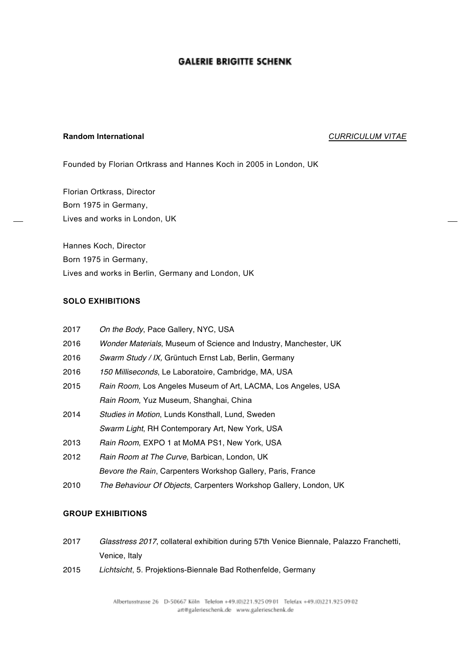# **GALERIE BRIGITTE SCHENK**

## **Random International** *CURRICULUM VITAE*

Founded by Florian Ortkrass and Hannes Koch in 2005 in London, UK

Florian Ortkrass, Director Born 1975 in Germany, Lives and works in London, UK

Hannes Koch, Director Born 1975 in Germany, Lives and works in Berlin, Germany and London, UK

## **SOLO EXHIBITIONS**

| 2017 | On the Body, Pace Gallery, NYC, USA                               |
|------|-------------------------------------------------------------------|
| 2016 | Wonder Materials, Museum of Science and Industry, Manchester, UK  |
| 2016 | Swarm Study / IX, Grüntuch Ernst Lab, Berlin, Germany             |
| 2016 | 150 Milliseconds, Le Laboratoire, Cambridge, MA, USA              |
| 2015 | Rain Room, Los Angeles Museum of Art, LACMA, Los Angeles, USA     |
|      | Rain Room, Yuz Museum, Shanghai, China                            |
| 2014 | Studies in Motion, Lunds Konsthall, Lund, Sweden                  |
|      | Swarm Light, RH Contemporary Art, New York, USA                   |
| 2013 | Rain Room, EXPO 1 at MoMA PS1, New York, USA                      |
| 2012 | Rain Room at The Curve, Barbican, London, UK                      |
|      | Bevore the Rain, Carpenters Workshop Gallery, Paris, France       |
| 2010 | The Behaviour Of Objects, Carpenters Workshop Gallery, London, UK |

# **GROUP EXHIBITIONS**

- 2017 *Glasstress 2017*, collateral exhibition during 57th Venice Biennale, Palazzo Franchetti, Venice, Italy
- 2015 *Lichtsicht*, 5. Projektions-Biennale Bad Rothenfelde, Germany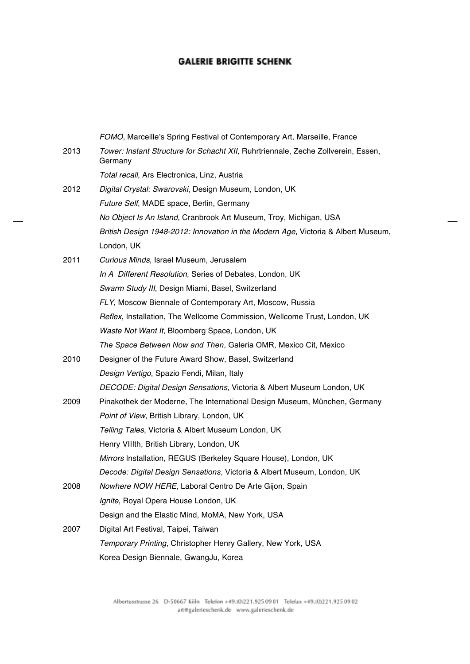# **GALERIE BRIGITTE SCHENK**

|      | FOMO, Marceille's Spring Festival of Contemporary Art, Marseille, France                     |
|------|----------------------------------------------------------------------------------------------|
| 2013 | Tower: Instant Structure for Schacht XII, Ruhrtriennale, Zeche Zollverein, Essen,<br>Germany |
|      | Total recall, Ars Electronica, Linz, Austria                                                 |
| 2012 | Digital Crystal: Swarovski, Design Museum, London, UK                                        |
|      | Future Self, MADE space, Berlin, Germany                                                     |
|      | No Object Is An Island, Cranbrook Art Museum, Troy, Michigan, USA                            |
|      | British Design 1948-2012: Innovation in the Modern Age, Victoria & Albert Museum,            |
|      | London, UK                                                                                   |
| 2011 | Curious Minds, Israel Museum, Jerusalem                                                      |
|      | In A Different Resolution, Series of Debates, London, UK                                     |
|      | Swarm Study III, Design Miami, Basel, Switzerland                                            |
|      | FLY, Moscow Biennale of Contemporary Art, Moscow, Russia                                     |
|      | Reflex, Installation, The Wellcome Commission, Wellcome Trust, London, UK                    |
|      | Waste Not Want It, Bloomberg Space, London, UK                                               |
|      | The Space Between Now and Then, Galeria OMR, Mexico Cit, Mexico                              |
| 2010 | Designer of the Future Award Show, Basel, Switzerland                                        |
|      | Design Vertigo, Spazio Fendi, Milan, Italy                                                   |
|      | DECODE: Digital Design Sensations, Victoria & Albert Museum London, UK                       |
| 2009 | Pinakothek der Moderne, The International Design Museum, München, Germany                    |
|      | Point of View, British Library, London, UK                                                   |
|      | Telling Tales, Victoria & Albert Museum London, UK                                           |
|      | Henry VIIIth, British Library, London, UK                                                    |
|      | Mirrors Installation, REGUS (Berkeley Square House), London, UK                              |
|      | Decode: Digital Design Sensations, Victoria & Albert Museum, London, UK                      |
| 2008 | Nowhere NOW HERE, Laboral Centro De Arte Gijon, Spain                                        |
|      | Ignite, Royal Opera House London, UK                                                         |
|      | Design and the Elastic Mind, MoMA, New York, USA                                             |
| 2007 | Digital Art Festival, Taipei, Taiwan                                                         |
|      | Temporary Printing, Christopher Henry Gallery, New York, USA                                 |
|      | Korea Design Biennale, GwangJu, Korea                                                        |